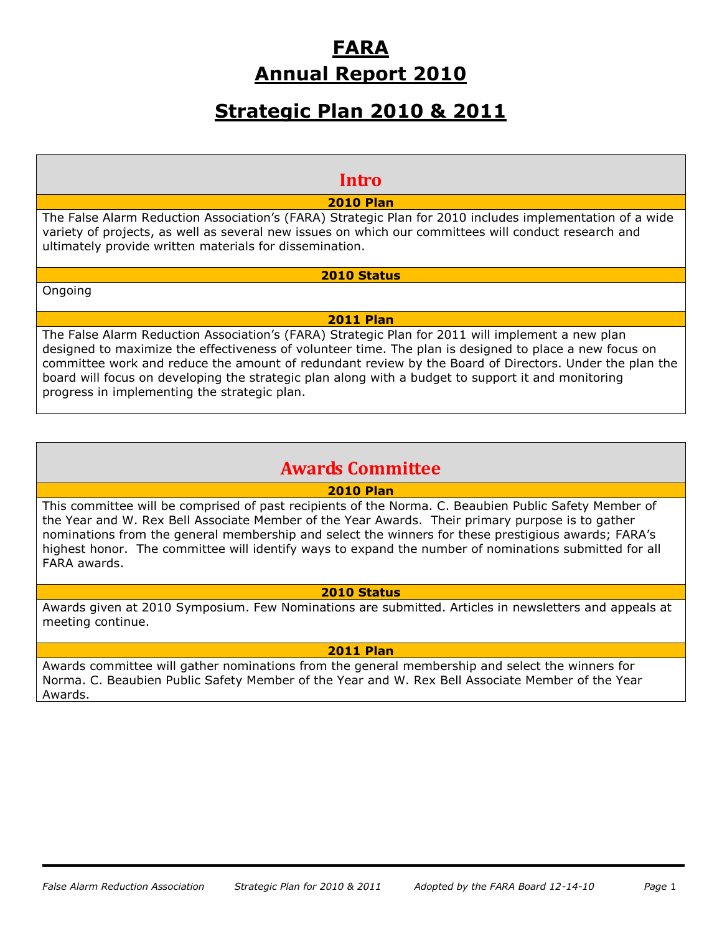# **FARA Annual Report 2010**

# **Strategic Plan 2010 & 2011**

# **Intro**

# **2010 Plan**

The False Alarm Reduction Association's (FARA) Strategic Plan for 2010 includes implementation of a wide variety of projects, as well as several new issues on which our committees will conduct research and ultimately provide written materials for dissemination.

## **2010 Status**

Ongoing

## **2011 Plan**

The False Alarm Reduction Association's (FARA) Strategic Plan for 2011 will implement a new plan designed to maximize the effectiveness of volunteer time. The plan is designed to place a new focus on committee work and reduce the amount of redundant review by the Board of Directors. Under the plan the board will focus on developing the strategic plan along with a budget to support it and monitoring progress in implementing the strategic plan.

# **Awards Committee**

### **2010 Plan**

This committee will be comprised of past recipients of the Norma. C. Beaubien Public Safety Member of the Year and W. Rex Bell Associate Member of the Year Awards. Their primary purpose is to gather nominations from the general membership and select the winners for these prestigious awards; FARA's highest honor. The committee will identify ways to expand the number of nominations submitted for all FARA awards.

# **2010 Status**

Awards given at 2010 Symposium. Few Nominations are submitted. Articles in newsletters and appeals at meeting continue.

### **2011 Plan**

Awards committee will gather nominations from the general membership and select the winners for Norma. C. Beaubien Public Safety Member of the Year and W. Rex Bell Associate Member of the Year Awards.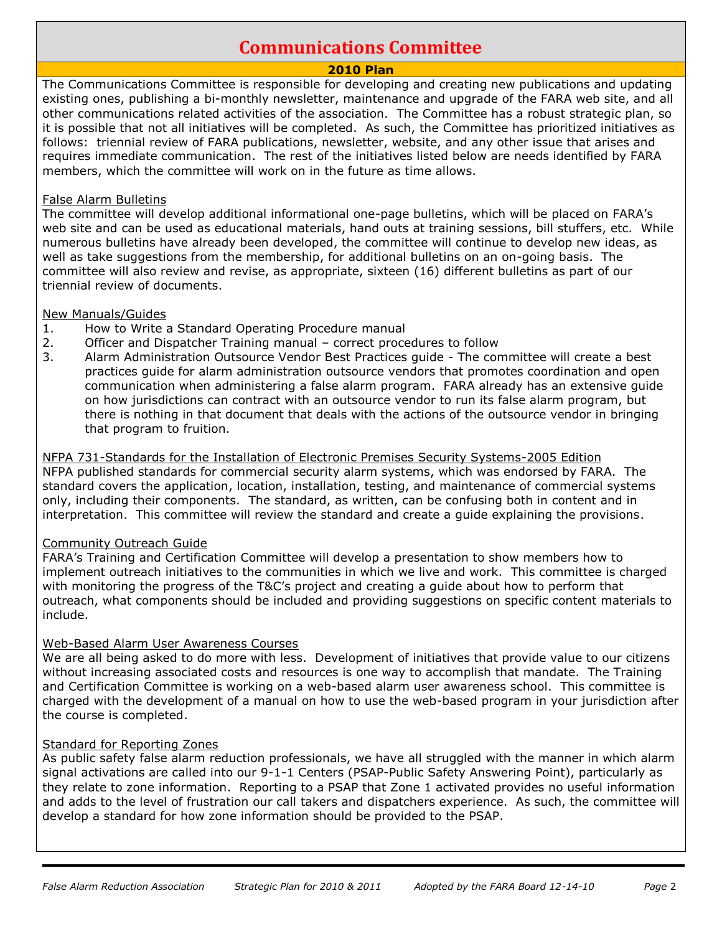# **Communications Committee**

# **2010 Plan**

The Communications Committee is responsible for developing and creating new publications and updating existing ones, publishing a bi-monthly newsletter, maintenance and upgrade of the FARA web site, and all other communications related activities of the association. The Committee has a robust strategic plan, so it is possible that not all initiatives will be completed. As such, the Committee has prioritized initiatives as follows: triennial review of FARA publications, newsletter, website, and any other issue that arises and requires immediate communication. The rest of the initiatives listed below are needs identified by FARA members, which the committee will work on in the future as time allows.

### False Alarm Bulletins

The committee will develop additional informational one-page bulletins, which will be placed on FARA's web site and can be used as educational materials, hand outs at training sessions, bill stuffers, etc. While numerous bulletins have already been developed, the committee will continue to develop new ideas, as well as take suggestions from the membership, for additional bulletins on an on-going basis. The committee will also review and revise, as appropriate, sixteen (16) different bulletins as part of our triennial review of documents.

## New Manuals/Guides

- 1. How to Write a Standard Operating Procedure manual
- 2. Officer and Dispatcher Training manual correct procedures to follow
- 3. Alarm Administration Outsource Vendor Best Practices guide The committee will create a best practices guide for alarm administration outsource vendors that promotes coordination and open communication when administering a false alarm program. FARA already has an extensive guide on how jurisdictions can contract with an outsource vendor to run its false alarm program, but there is nothing in that document that deals with the actions of the outsource vendor in bringing that program to fruition.

NFPA 731-Standards for the Installation of Electronic Premises Security Systems-2005 Edition NFPA published standards for commercial security alarm systems, which was endorsed by FARA. The standard covers the application, location, installation, testing, and maintenance of commercial systems only, including their components. The standard, as written, can be confusing both in content and in interpretation. This committee will review the standard and create a guide explaining the provisions.

# Community Outreach Guide

FARA's Training and Certification Committee will develop a presentation to show members how to implement outreach initiatives to the communities in which we live and work. This committee is charged with monitoring the progress of the T&C's project and creating a guide about how to perform that outreach, what components should be included and providing suggestions on specific content materials to include.

# Web-Based Alarm User Awareness Courses

We are all being asked to do more with less. Development of initiatives that provide value to our citizens without increasing associated costs and resources is one way to accomplish that mandate. The Training and Certification Committee is working on a web-based alarm user awareness school. This committee is charged with the development of a manual on how to use the web-based program in your jurisdiction after the course is completed.

### Standard for Reporting Zones

As public safety false alarm reduction professionals, we have all struggled with the manner in which alarm signal activations are called into our 9-1-1 Centers (PSAP-Public Safety Answering Point), particularly as they relate to zone information. Reporting to a PSAP that Zone 1 activated provides no useful information and adds to the level of frustration our call takers and dispatchers experience. As such, the committee will develop a standard for how zone information should be provided to the PSAP.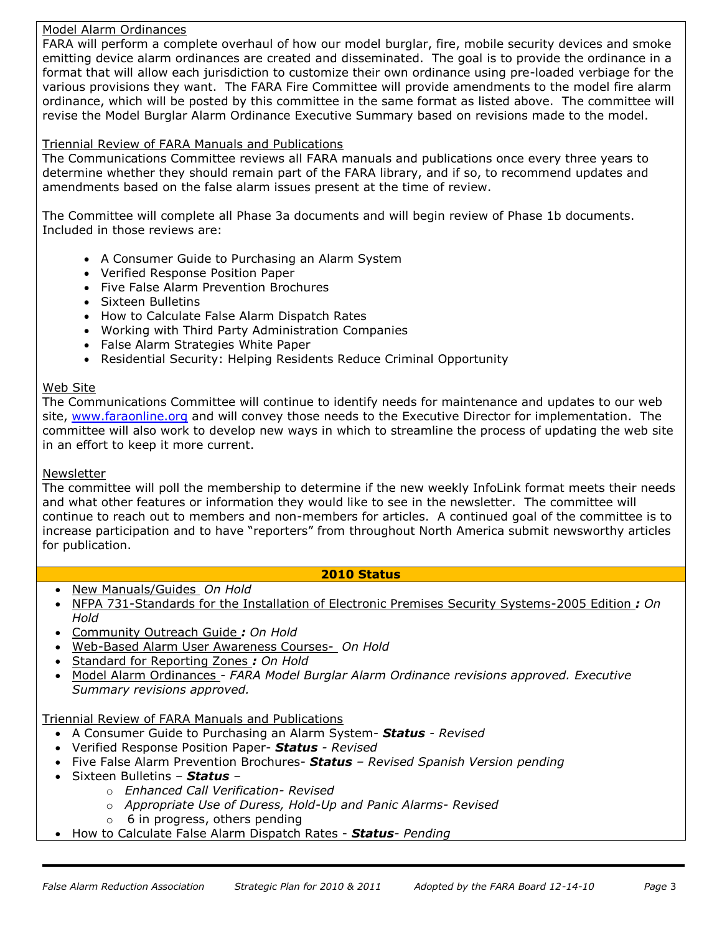### Model Alarm Ordinances

FARA will perform a complete overhaul of how our model burglar, fire, mobile security devices and smoke emitting device alarm ordinances are created and disseminated. The goal is to provide the ordinance in a format that will allow each jurisdiction to customize their own ordinance using pre-loaded verbiage for the various provisions they want. The FARA Fire Committee will provide amendments to the model fire alarm ordinance, which will be posted by this committee in the same format as listed above. The committee will revise the Model Burglar Alarm Ordinance Executive Summary based on revisions made to the model.

## Triennial Review of FARA Manuals and Publications

The Communications Committee reviews all FARA manuals and publications once every three years to determine whether they should remain part of the FARA library, and if so, to recommend updates and amendments based on the false alarm issues present at the time of review.

The Committee will complete all Phase 3a documents and will begin review of Phase 1b documents. Included in those reviews are:

- A Consumer Guide to Purchasing an Alarm System
- Verified Response Position Paper
- Five False Alarm Prevention Brochures
- Sixteen Bulletins
- How to Calculate False Alarm Dispatch Rates
- Working with Third Party Administration Companies
- False Alarm Strategies White Paper
- Residential Security: Helping Residents Reduce Criminal Opportunity

### Web Site

The Communications Committee will continue to identify needs for maintenance and updates to our web site, [www.faraonline.org](http://www.faraonline.org/) and will convey those needs to the Executive Director for implementation. The committee will also work to develop new ways in which to streamline the process of updating the web site in an effort to keep it more current.

### **Newsletter**

The committee will poll the membership to determine if the new weekly InfoLink format meets their needs and what other features or information they would like to see in the newsletter. The committee will continue to reach out to members and non-members for articles. A continued goal of the committee is to increase participation and to have "reporters" from throughout North America submit newsworthy articles for publication.

### **2010 Status**

- New Manuals/Guides *On Hold*
- NFPA 731-Standards for the Installation of Electronic Premises Security Systems-2005 Edition *: On Hold*
- Community Outreach Guide *: On Hold*
- Web-Based Alarm User Awareness Courses- *On Hold*
- Standard for Reporting Zones *: On Hold*
- Model Alarm Ordinances *- FARA Model Burglar Alarm Ordinance revisions approved. Executive Summary revisions approved.*

Triennial Review of FARA Manuals and Publications

- A Consumer Guide to Purchasing an Alarm System- *Status - Revised*
- Verified Response Position Paper- *Status - Revised*
- Five False Alarm Prevention Brochures- *Status – Revised Spanish Version pending*
- Sixteen Bulletins *Status –*
	- o *Enhanced Call Verification- Revised*
	- o *Appropriate Use of Duress, Hold-Up and Panic Alarms- Revised*
	- $\circ$  6 in progress, others pending
- How to Calculate False Alarm Dispatch Rates *Status- Pending*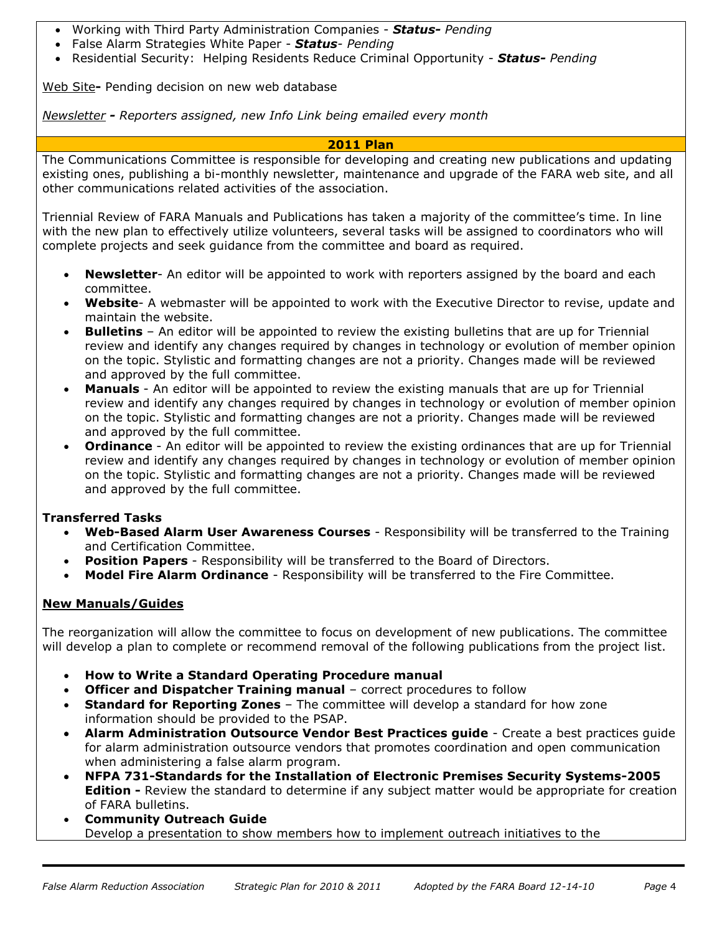- Working with Third Party Administration Companies *Status- Pending*
- False Alarm Strategies White Paper *Status- Pending*
- Residential Security: Helping Residents Reduce Criminal Opportunity *Status- Pending*

Web Site**-** Pending decision on new web database

*Newsletter - Reporters assigned, new Info Link being emailed every month*

### **2011 Plan**

The Communications Committee is responsible for developing and creating new publications and updating existing ones, publishing a bi-monthly newsletter, maintenance and upgrade of the FARA web site, and all other communications related activities of the association.

Triennial Review of FARA Manuals and Publications has taken a majority of the committee's time. In line with the new plan to effectively utilize volunteers, several tasks will be assigned to coordinators who will complete projects and seek guidance from the committee and board as required.

- **Newsletter** An editor will be appointed to work with reporters assigned by the board and each committee.
- **Website** A webmaster will be appointed to work with the Executive Director to revise, update and maintain the website.
- **Bulletins**  An editor will be appointed to review the existing bulletins that are up for Triennial review and identify any changes required by changes in technology or evolution of member opinion on the topic. Stylistic and formatting changes are not a priority. Changes made will be reviewed and approved by the full committee.
- **Manuals**  An editor will be appointed to review the existing manuals that are up for Triennial review and identify any changes required by changes in technology or evolution of member opinion on the topic. Stylistic and formatting changes are not a priority. Changes made will be reviewed and approved by the full committee.
- **Ordinance**  An editor will be appointed to review the existing ordinances that are up for Triennial review and identify any changes required by changes in technology or evolution of member opinion on the topic. Stylistic and formatting changes are not a priority. Changes made will be reviewed and approved by the full committee.

# **Transferred Tasks**

- **Web-Based Alarm User Awareness Courses** Responsibility will be transferred to the Training and Certification Committee.
- **Position Papers** Responsibility will be transferred to the Board of Directors.
- **Model Fire Alarm Ordinance** Responsibility will be transferred to the Fire Committee.

# **New Manuals/Guides**

The reorganization will allow the committee to focus on development of new publications. The committee will develop a plan to complete or recommend removal of the following publications from the project list.

- **How to Write a Standard Operating Procedure manual**
- **Officer and Dispatcher Training manual** correct procedures to follow
- **Standard for Reporting Zones** The committee will develop a standard for how zone information should be provided to the PSAP.
- **Alarm Administration Outsource Vendor Best Practices guide** Create a best practices guide for alarm administration outsource vendors that promotes coordination and open communication when administering a false alarm program.
- **NFPA 731-Standards for the Installation of Electronic Premises Security Systems-2005 Edition -** Review the standard to determine if any subject matter would be appropriate for creation of FARA bulletins.
- **Community Outreach Guide** Develop a presentation to show members how to implement outreach initiatives to the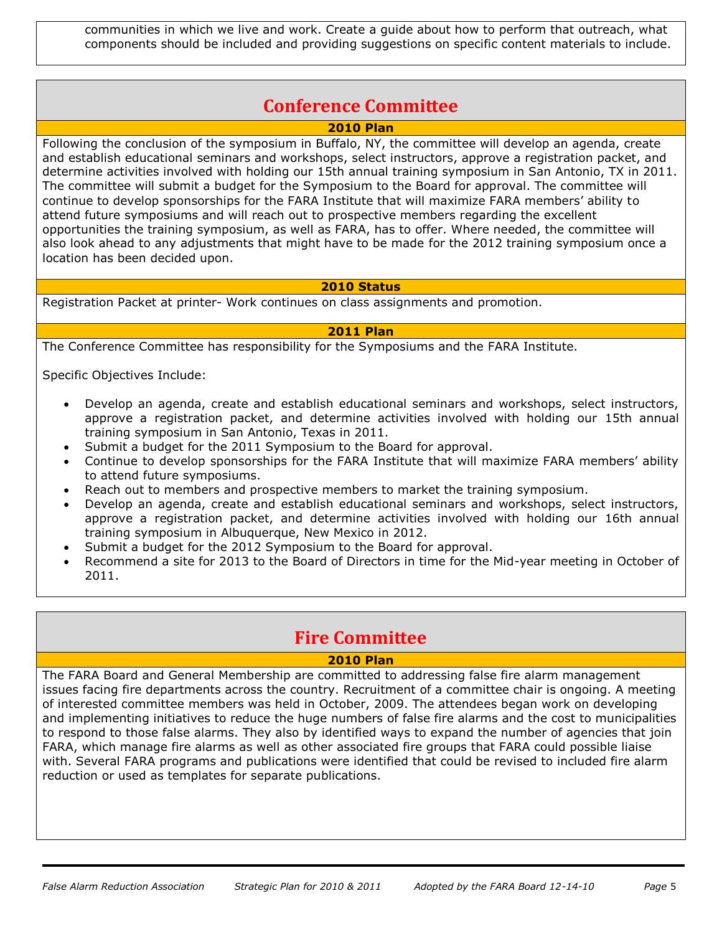communities in which we live and work. Create a guide about how to perform that outreach, what components should be included and providing suggestions on specific content materials to include.

# **Conference Committee**

**2010 Plan**

Following the conclusion of the symposium in Buffalo, NY, the committee will develop an agenda, create and establish educational seminars and workshops, select instructors, approve a registration packet, and determine activities involved with holding our 15th annual training symposium in San Antonio, TX in 2011. The committee will submit a budget for the Symposium to the Board for approval. The committee will continue to develop sponsorships for the FARA Institute that will maximize FARA members' ability to attend future symposiums and will reach out to prospective members regarding the excellent opportunities the training symposium, as well as FARA, has to offer. Where needed, the committee will also look ahead to any adjustments that might have to be made for the 2012 training symposium once a location has been decided upon.

### **2010 Status**

Registration Packet at printer- Work continues on class assignments and promotion.

## **2011 Plan**

The Conference Committee has responsibility for the Symposiums and the FARA Institute.

Specific Objectives Include:

- Develop an agenda, create and establish educational seminars and workshops, select instructors, approve a registration packet, and determine activities involved with holding our 15th annual training symposium in San Antonio, Texas in 2011.
- Submit a budget for the 2011 Symposium to the Board for approval.
- Continue to develop sponsorships for the FARA Institute that will maximize FARA members' ability to attend future symposiums.
- Reach out to members and prospective members to market the training symposium.
- Develop an agenda, create and establish educational seminars and workshops, select instructors, approve a registration packet, and determine activities involved with holding our 16th annual training symposium in Albuquerque, New Mexico in 2012.
- Submit a budget for the 2012 Symposium to the Board for approval.
- Recommend a site for 2013 to the Board of Directors in time for the Mid-year meeting in October of 2011.

# **Fire Committee**

# **2010 Plan**

The FARA Board and General Membership are committed to addressing false fire alarm management issues facing fire departments across the country. Recruitment of a committee chair is ongoing. A meeting of interested committee members was held in October, 2009. The attendees began work on developing and implementing initiatives to reduce the huge numbers of false fire alarms and the cost to municipalities to respond to those false alarms. They also by identified ways to expand the number of agencies that join FARA, which manage fire alarms as well as other associated fire groups that FARA could possible liaise with. Several FARA programs and publications were identified that could be revised to included fire alarm reduction or used as templates for separate publications.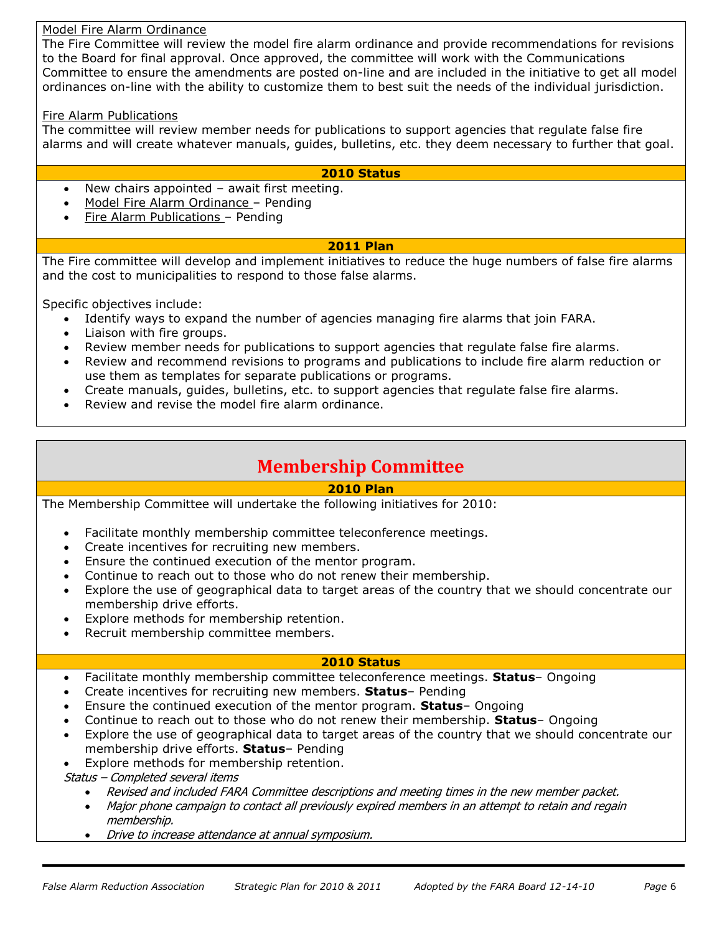### Model Fire Alarm Ordinance

The Fire Committee will review the model fire alarm ordinance and provide recommendations for revisions to the Board for final approval. Once approved, the committee will work with the Communications Committee to ensure the amendments are posted on-line and are included in the initiative to get all model ordinances on-line with the ability to customize them to best suit the needs of the individual jurisdiction.

### Fire Alarm Publications

The committee will review member needs for publications to support agencies that regulate false fire alarms and will create whatever manuals, guides, bulletins, etc. they deem necessary to further that goal.

### **2010 Status**

- New chairs appointed await first meeting.
- Model Fire Alarm Ordinance Pending
- Fire Alarm Publications Pending

### **2011 Plan**

The Fire committee will develop and implement initiatives to reduce the huge numbers of false fire alarms and the cost to municipalities to respond to those false alarms.

Specific objectives include:

- Identify ways to expand the number of agencies managing fire alarms that join FARA.
- Liaison with fire groups.
- Review member needs for publications to support agencies that regulate false fire alarms.
- Review and recommend revisions to programs and publications to include fire alarm reduction or use them as templates for separate publications or programs.
- Create manuals, guides, bulletins, etc. to support agencies that regulate false fire alarms.
- Review and revise the model fire alarm ordinance.

# **Membership Committee**

### **2010 Plan**

The Membership Committee will undertake the following initiatives for 2010:

- Facilitate monthly membership committee teleconference meetings.
- Create incentives for recruiting new members.
- Ensure the continued execution of the mentor program.
- Continue to reach out to those who do not renew their membership.
- Explore the use of geographical data to target areas of the country that we should concentrate our membership drive efforts.
- Explore methods for membership retention.
- Recruit membership committee members.

# **2010 Status**

- Facilitate monthly membership committee teleconference meetings. **Status** Ongoing
- Create incentives for recruiting new members. **Status** Pending
- Ensure the continued execution of the mentor program. **Status** Ongoing
- Continue to reach out to those who do not renew their membership. **Status** Ongoing
- Explore the use of geographical data to target areas of the country that we should concentrate our membership drive efforts. **Status**– Pending
- Explore methods for membership retention.
- Status Completed several items
	- Revised and included FARA Committee descriptions and meeting times in the new member packet.
	- Major phone campaign to contact all previously expired members in an attempt to retain and regain membership.
	- Drive to increase attendance at annual symposium.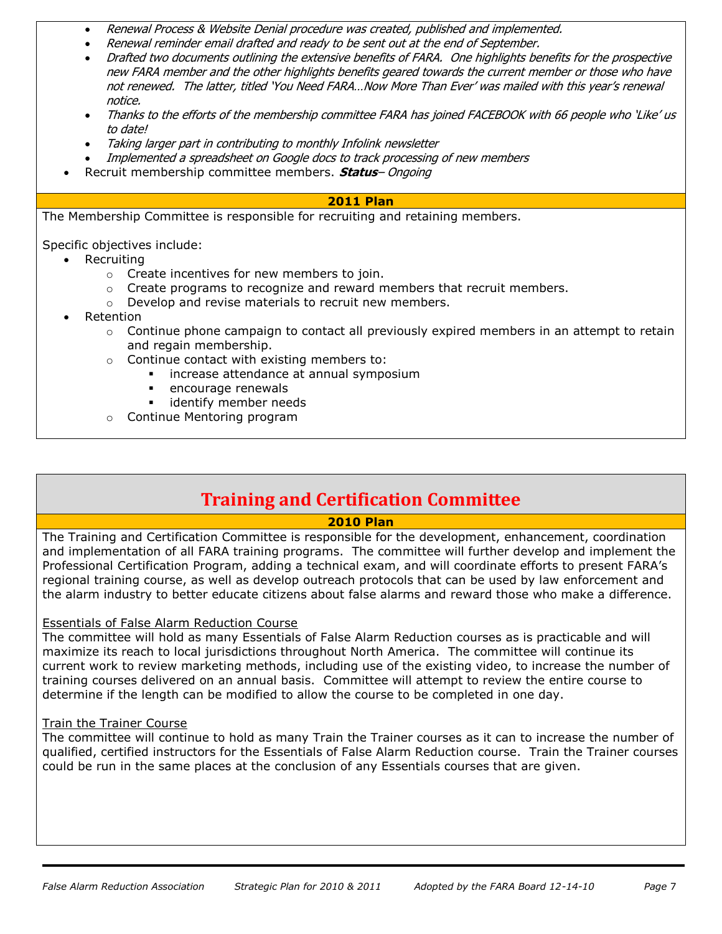- Renewal Process & Website Denial procedure was created, published and implemented.
- Renewal reminder email drafted and ready to be sent out at the end of September.
- Drafted two documents outlining the extensive benefits of FARA. One highlights benefits for the prospective new FARA member and the other highlights benefits geared towards the current member or those who have not renewed. The latter, titled 'You Need FARA…Now More Than Ever' was mailed with this year's renewal notice.
- Thanks to the efforts of the membership committee FARA has joined FACEBOOK with 66 people who 'Like' us to date!
- Taking larger part in contributing to monthly Infolink newsletter
- Implemented a spreadsheet on Google docs to track processing of new members
- Recruit membership committee members. **Status** Ongoing

## **2011 Plan**

The Membership Committee is responsible for recruiting and retaining members.

Specific objectives include:

- Recruiting
	- o Create incentives for new members to join.
	- $\circ$  Create programs to recognize and reward members that recruit members.
	- o Develop and revise materials to recruit new members.
- Retention
	- $\circ$  Continue phone campaign to contact all previously expired members in an attempt to retain and regain membership.
	- o Continue contact with existing members to:
		- **·** increase attendance at annual symposium
		- **EXECUTE A** encourage renewals
		- identify member needs
	- o Continue Mentoring program

# **Training and Certification Committee**

# **2010 Plan**

The Training and Certification Committee is responsible for the development, enhancement, coordination and implementation of all FARA training programs. The committee will further develop and implement the Professional Certification Program, adding a technical exam, and will coordinate efforts to present FARA's regional training course, as well as develop outreach protocols that can be used by law enforcement and the alarm industry to better educate citizens about false alarms and reward those who make a difference.

# Essentials of False Alarm Reduction Course

The committee will hold as many Essentials of False Alarm Reduction courses as is practicable and will maximize its reach to local jurisdictions throughout North America. The committee will continue its current work to review marketing methods, including use of the existing video, to increase the number of training courses delivered on an annual basis. Committee will attempt to review the entire course to determine if the length can be modified to allow the course to be completed in one day.

# Train the Trainer Course

The committee will continue to hold as many Train the Trainer courses as it can to increase the number of qualified, certified instructors for the Essentials of False Alarm Reduction course. Train the Trainer courses could be run in the same places at the conclusion of any Essentials courses that are given.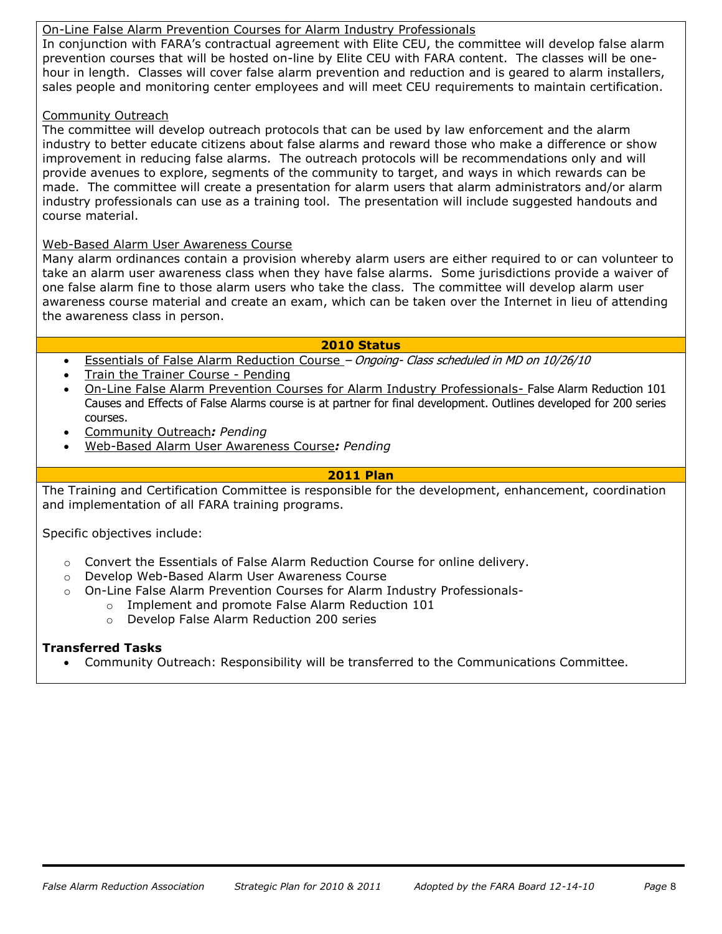# On-Line False Alarm Prevention Courses for Alarm Industry Professionals

In conjunction with FARA's contractual agreement with Elite CEU, the committee will develop false alarm prevention courses that will be hosted on-line by Elite CEU with FARA content. The classes will be onehour in length. Classes will cover false alarm prevention and reduction and is geared to alarm installers, sales people and monitoring center employees and will meet CEU requirements to maintain certification.

### Community Outreach

The committee will develop outreach protocols that can be used by law enforcement and the alarm industry to better educate citizens about false alarms and reward those who make a difference or show improvement in reducing false alarms. The outreach protocols will be recommendations only and will provide avenues to explore, segments of the community to target, and ways in which rewards can be made. The committee will create a presentation for alarm users that alarm administrators and/or alarm industry professionals can use as a training tool. The presentation will include suggested handouts and course material.

### Web-Based Alarm User Awareness Course

Many alarm ordinances contain a provision whereby alarm users are either required to or can volunteer to take an alarm user awareness class when they have false alarms. Some jurisdictions provide a waiver of one false alarm fine to those alarm users who take the class. The committee will develop alarm user awareness course material and create an exam, which can be taken over the Internet in lieu of attending the awareness class in person.

### **2010 Status**

- Essentials of False Alarm Reduction Course Ongoing- Class scheduled in MD on 10/26/10
- Train the Trainer Course Pending
- On-Line False Alarm Prevention Courses for Alarm Industry Professionals- False Alarm Reduction 101 Causes and Effects of False Alarms course is at partner for final development. Outlines developed for 200 series courses.
- Community Outreach*: Pending*
- Web-Based Alarm User Awareness Course*: Pending*

### **2011 Plan**

The Training and Certification Committee is responsible for the development, enhancement, coordination and implementation of all FARA training programs.

Specific objectives include:

- o Convert the Essentials of False Alarm Reduction Course for online delivery.
- o Develop Web-Based Alarm User Awareness Course
- o On-Line False Alarm Prevention Courses for Alarm Industry Professionals
	- o Implement and promote False Alarm Reduction 101
	- o Develop False Alarm Reduction 200 series

### **Transferred Tasks**

Community Outreach: Responsibility will be transferred to the Communications Committee.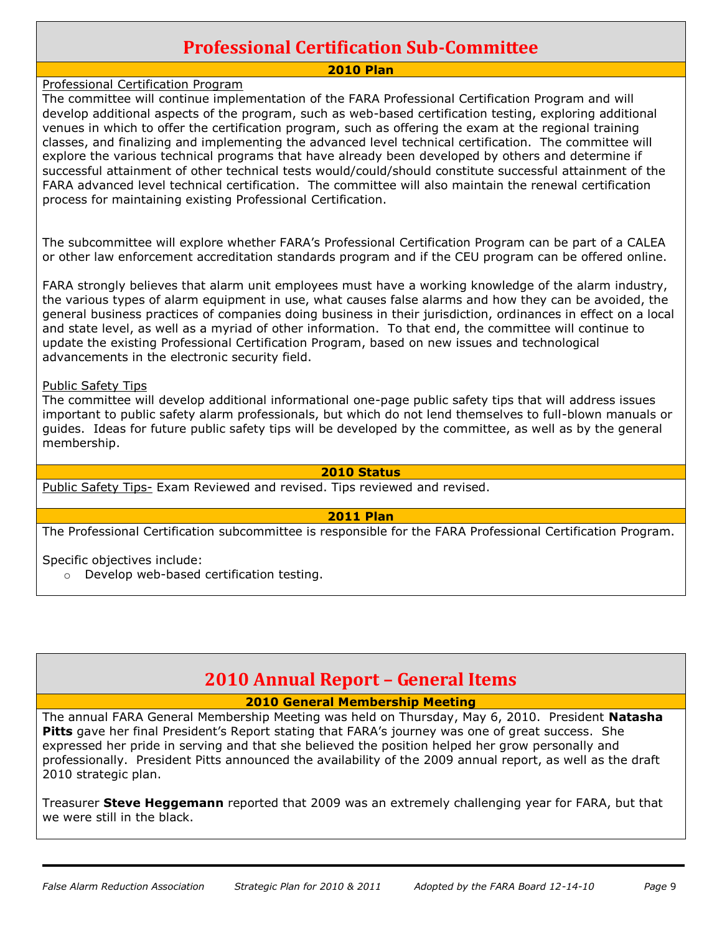# **Professional Certification Sub-Committee**

# **2010 Plan**

### Professional Certification Program

The committee will continue implementation of the FARA Professional Certification Program and will develop additional aspects of the program, such as web-based certification testing, exploring additional venues in which to offer the certification program, such as offering the exam at the regional training classes, and finalizing and implementing the advanced level technical certification. The committee will explore the various technical programs that have already been developed by others and determine if successful attainment of other technical tests would/could/should constitute successful attainment of the FARA advanced level technical certification. The committee will also maintain the renewal certification process for maintaining existing Professional Certification.

The subcommittee will explore whether FARA's Professional Certification Program can be part of a CALEA or other law enforcement accreditation standards program and if the CEU program can be offered online.

FARA strongly believes that alarm unit employees must have a working knowledge of the alarm industry, the various types of alarm equipment in use, what causes false alarms and how they can be avoided, the general business practices of companies doing business in their jurisdiction, ordinances in effect on a local and state level, as well as a myriad of other information. To that end, the committee will continue to update the existing Professional Certification Program, based on new issues and technological advancements in the electronic security field.

### Public Safety Tips

The committee will develop additional informational one-page public safety tips that will address issues important to public safety alarm professionals, but which do not lend themselves to full-blown manuals or guides. Ideas for future public safety tips will be developed by the committee, as well as by the general membership.

### **2010 Status**

Public Safety Tips- Exam Reviewed and revised. Tips reviewed and revised.

### **2011 Plan**

The Professional Certification subcommittee is responsible for the FARA Professional Certification Program.

Specific objectives include:

o Develop web-based certification testing.

# **2010 Annual Report – General Items**

**2010 General Membership Meeting**

The annual FARA General Membership Meeting was held on Thursday, May 6, 2010. President **Natasha Pitts** gave her final President's Report stating that FARA's journey was one of great success. She expressed her pride in serving and that she believed the position helped her grow personally and professionally. President Pitts announced the availability of the 2009 annual report, as well as the draft 2010 strategic plan.

Treasurer **Steve Heggemann** reported that 2009 was an extremely challenging year for FARA, but that we were still in the black.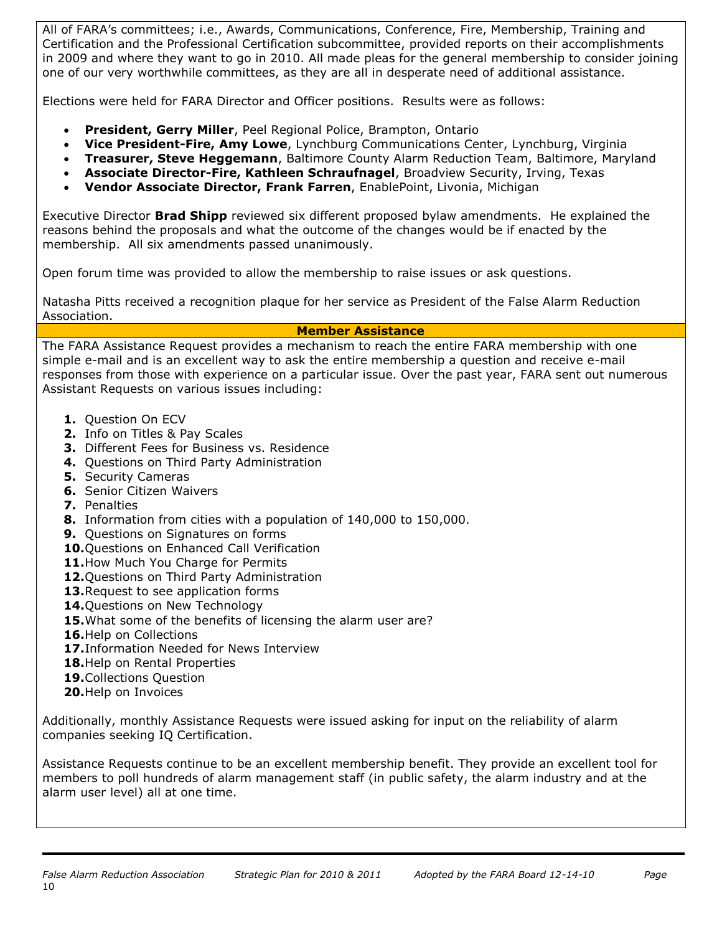All of FARA's committees; i.e., Awards, Communications, Conference, Fire, Membership, Training and Certification and the Professional Certification subcommittee, provided reports on their accomplishments in 2009 and where they want to go in 2010. All made pleas for the general membership to consider joining one of our very worthwhile committees, as they are all in desperate need of additional assistance.

Elections were held for FARA Director and Officer positions. Results were as follows:

- **President, Gerry Miller**, Peel Regional Police, Brampton, Ontario
- **Vice President-Fire, Amy Lowe**, Lynchburg Communications Center, Lynchburg, Virginia
- **Treasurer, Steve Heggemann**, Baltimore County Alarm Reduction Team, Baltimore, Maryland
- **Associate Director-Fire, Kathleen Schraufnagel**, Broadview Security, Irving, Texas
- **Vendor Associate Director, Frank Farren**, EnablePoint, Livonia, Michigan

Executive Director **Brad Shipp** reviewed six different proposed bylaw amendments. He explained the reasons behind the proposals and what the outcome of the changes would be if enacted by the membership. All six amendments passed unanimously.

Open forum time was provided to allow the membership to raise issues or ask questions.

Natasha Pitts received a recognition plaque for her service as President of the False Alarm Reduction Association.

### **Member Assistance**

The FARA Assistance Request provides a mechanism to reach the entire FARA membership with one simple e-mail and is an excellent way to ask the entire membership a question and receive e-mail responses from those with experience on a particular issue. Over the past year, FARA sent out numerous Assistant Requests on various issues including:

- **1.** Question On ECV
- **2.** Info on Titles & Pay Scales
- **3.** Different Fees for Business vs. Residence
- **4.** Questions on Third Party Administration
- **5.** Security Cameras
- **6.** Senior Citizen Waivers
- **7.** Penalties
- **8.** Information from cities with a population of 140,000 to 150,000.
- **9.** Questions on Signatures on forms
- **10.**Questions on Enhanced Call Verification
- 11. How Much You Charge for Permits
- **12.**Questions on Third Party Administration
- **13.**Request to see application forms
- **14.**Questions on New Technology
- **15.**What some of the benefits of licensing the alarm user are?
- **16.**Help on Collections
- **17.**Information Needed for News Interview
- **18.**Help on Rental Properties
- **19.**Collections Question
- **20.**Help on Invoices

Additionally, monthly Assistance Requests were issued asking for input on the reliability of alarm companies seeking IQ Certification.

Assistance Requests continue to be an excellent membership benefit. They provide an excellent tool for members to poll hundreds of alarm management staff (in public safety, the alarm industry and at the alarm user level) all at one time.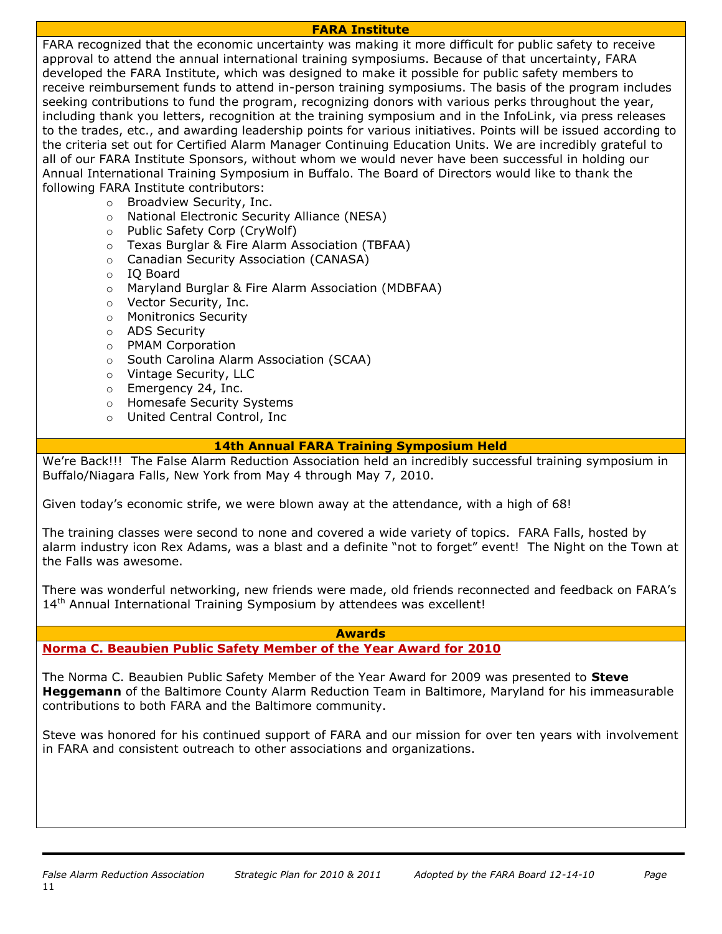### **FARA Institute**

FARA recognized that the economic uncertainty was making it more difficult for public safety to receive approval to attend the annual international training symposiums. Because of that uncertainty, FARA developed the FARA Institute, which was designed to make it possible for public safety members to receive reimbursement funds to attend in-person training symposiums. The basis of the program includes seeking contributions to fund the program, recognizing donors with various perks throughout the year, including thank you letters, recognition at the training symposium and in the InfoLink, via press releases to the trades, etc., and awarding leadership points for various initiatives. Points will be issued according to the criteria set out for Certified Alarm Manager Continuing Education Units. We are incredibly grateful to all of our FARA Institute Sponsors, without whom we would never have been successful in holding our Annual International Training Symposium in Buffalo. The Board of Directors would like to thank the following FARA Institute contributors:

- o Broadview Security, Inc.
- o National Electronic Security Alliance (NESA)
- o Public Safety Corp (CryWolf)
- o Texas Burglar & Fire Alarm Association (TBFAA)
- o Canadian Security Association (CANASA)
- o IQ Board
- o Maryland Burglar & Fire Alarm Association (MDBFAA)
- o Vector Security, Inc.
- o Monitronics Security
- o ADS Security
- o PMAM Corporation
- o South Carolina Alarm Association (SCAA)
- o Vintage Security, LLC
- o Emergency 24, Inc.
- o Homesafe Security Systems
- o United Central Control, Inc

## **14th Annual FARA Training Symposium Held**

We're Back!!! The False Alarm Reduction Association held an incredibly successful training symposium in Buffalo/Niagara Falls, New York from May 4 through May 7, 2010.

Given today's economic strife, we were blown away at the attendance, with a high of 68!

The training classes were second to none and covered a wide variety of topics. FARA Falls, hosted by alarm industry icon Rex Adams, was a blast and a definite "not to forget" event! The Night on the Town at the Falls was awesome.

There was wonderful networking, new friends were made, old friends reconnected and feedback on FARA's 14<sup>th</sup> Annual International Training Symposium by attendees was excellent!

### **Awards**

# **Norma C. Beaubien Public Safety Member of the Year Award for 2010**

The Norma C. Beaubien Public Safety Member of the Year Award for 2009 was presented to **Steve Heggemann** of the Baltimore County Alarm Reduction Team in Baltimore, Maryland for his immeasurable contributions to both FARA and the Baltimore community.

Steve was honored for his continued support of FARA and our mission for over ten years with involvement in FARA and consistent outreach to other associations and organizations.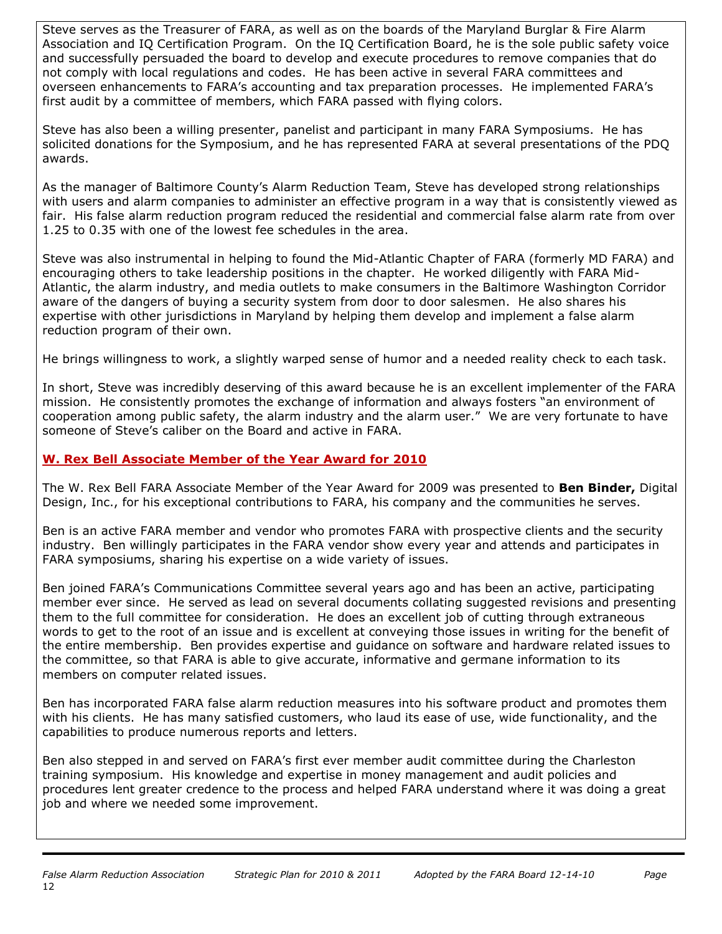Steve serves as the Treasurer of FARA, as well as on the boards of the Maryland Burglar & Fire Alarm Association and IQ Certification Program. On the IQ Certification Board, he is the sole public safety voice and successfully persuaded the board to develop and execute procedures to remove companies that do not comply with local regulations and codes. He has been active in several FARA committees and overseen enhancements to FARA's accounting and tax preparation processes. He implemented FARA's first audit by a committee of members, which FARA passed with flying colors.

Steve has also been a willing presenter, panelist and participant in many FARA Symposiums. He has solicited donations for the Symposium, and he has represented FARA at several presentations of the PDQ awards.

As the manager of Baltimore County's Alarm Reduction Team, Steve has developed strong relationships with users and alarm companies to administer an effective program in a way that is consistently viewed as fair. His false alarm reduction program reduced the residential and commercial false alarm rate from over 1.25 to 0.35 with one of the lowest fee schedules in the area.

Steve was also instrumental in helping to found the Mid-Atlantic Chapter of FARA (formerly MD FARA) and encouraging others to take leadership positions in the chapter. He worked diligently with FARA Mid-Atlantic, the alarm industry, and media outlets to make consumers in the Baltimore Washington Corridor aware of the dangers of buying a security system from door to door salesmen. He also shares his expertise with other jurisdictions in Maryland by helping them develop and implement a false alarm reduction program of their own.

He brings willingness to work, a slightly warped sense of humor and a needed reality check to each task.

In short, Steve was incredibly deserving of this award because he is an excellent implementer of the FARA mission. He consistently promotes the exchange of information and always fosters "an environment of cooperation among public safety, the alarm industry and the alarm user." We are very fortunate to have someone of Steve's caliber on the Board and active in FARA.

# **W. Rex Bell Associate Member of the Year Award for 2010**

The W. Rex Bell FARA Associate Member of the Year Award for 2009 was presented to **Ben Binder,** Digital Design, Inc., for his exceptional contributions to FARA, his company and the communities he serves.

Ben is an active FARA member and vendor who promotes FARA with prospective clients and the security industry. Ben willingly participates in the FARA vendor show every year and attends and participates in FARA symposiums, sharing his expertise on a wide variety of issues.

Ben joined FARA's Communications Committee several years ago and has been an active, participating member ever since. He served as lead on several documents collating suggested revisions and presenting them to the full committee for consideration. He does an excellent job of cutting through extraneous words to get to the root of an issue and is excellent at conveying those issues in writing for the benefit of the entire membership. Ben provides expertise and guidance on software and hardware related issues to the committee, so that FARA is able to give accurate, informative and germane information to its members on computer related issues.

Ben has incorporated FARA false alarm reduction measures into his software product and promotes them with his clients. He has many satisfied customers, who laud its ease of use, wide functionality, and the capabilities to produce numerous reports and letters.

Ben also stepped in and served on FARA's first ever member audit committee during the Charleston training symposium. His knowledge and expertise in money management and audit policies and procedures lent greater credence to the process and helped FARA understand where it was doing a great job and where we needed some improvement.